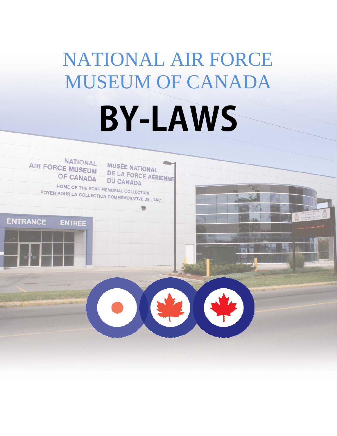# NATIONAL AIR FORCE MUSEUM OF CANADA **BY-LAWS**

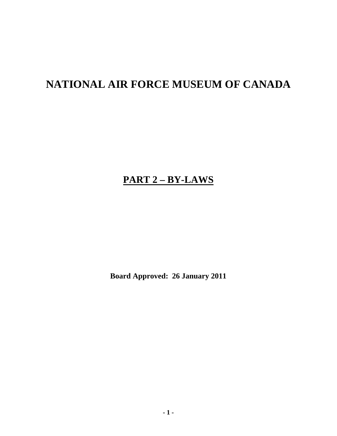# **NATIONAL AIR FORCE MUSEUM OF CANADA**

## **PART 2 – BY-LAWS**

**Board Approved: 26 January 2011**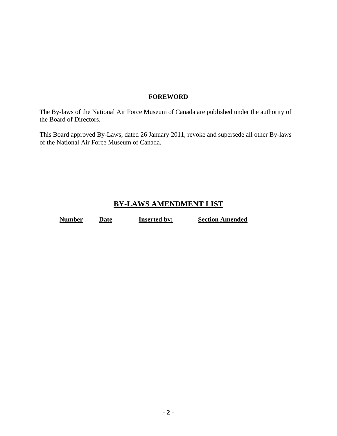#### **FOREWORD**

The By-laws of the National Air Force Museum of Canada are published under the authority of the Board of Directors.

This Board approved By-Laws, dated 26 January 2011, revoke and supersede all other By-laws of the National Air Force Museum of Canada.

### **BY-LAWS AMENDMENT LIST**

**Number Date Inserted by:** Section Amended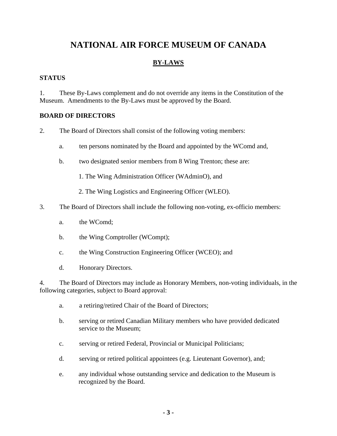## **NATIONAL AIR FORCE MUSEUM OF CANADA**

#### **BY-LAWS**

#### **STATUS**

1. These By-Laws complement and do not override any items in the Constitution of the Museum. Amendments to the By-Laws must be approved by the Board.

#### **BOARD OF DIRECTORS**

- 2. The Board of Directors shall consist of the following voting members:
	- a. ten persons nominated by the Board and appointed by the WComd and,
	- b. two designated senior members from 8 Wing Trenton; these are:
		- 1. The Wing Administration Officer (WAdminO), and
		- 2. The Wing Logistics and Engineering Officer (WLEO).
- 3. The Board of Directors shall include the following non-voting, ex-officio members:
	- a. the WComd;
	- b. the Wing Comptroller (WCompt);
	- c. the Wing Construction Engineering Officer (WCEO); and
	- d. Honorary Directors.

4. The Board of Directors may include as Honorary Members, non-voting individuals, in the following categories, subject to Board approval:

- a. a retiring/retired Chair of the Board of Directors;
- b. serving or retired Canadian Military members who have provided dedicated service to the Museum;
- c. serving or retired Federal, Provincial or Municipal Politicians;
- d. serving or retired political appointees (e.g. Lieutenant Governor), and;
- e. any individual whose outstanding service and dedication to the Museum is recognized by the Board.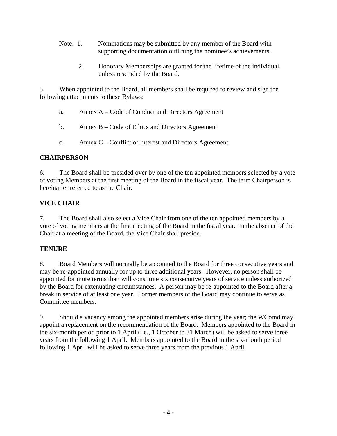- Note: 1. Nominations may be submitted by any member of the Board with supporting documentation outlining the nominee's achievements.
	- 2. Honorary Memberships are granted for the lifetime of the individual, unless rescinded by the Board.

5. When appointed to the Board, all members shall be required to review and sign the following attachments to these Bylaws:

- a. Annex A Code of Conduct and Directors Agreement
- b. Annex B Code of Ethics and Directors Agreement
- c. Annex C Conflict of Interest and Directors Agreement

#### **CHAIRPERSON**

6. The Board shall be presided over by one of the ten appointed members selected by a vote of voting Members at the first meeting of the Board in the fiscal year. The term Chairperson is hereinafter referred to as the Chair.

#### **VICE CHAIR**

7. The Board shall also select a Vice Chair from one of the ten appointed members by a vote of voting members at the first meeting of the Board in the fiscal year. In the absence of the Chair at a meeting of the Board, the Vice Chair shall preside.

#### **TENURE**

8. Board Members will normally be appointed to the Board for three consecutive years and may be re-appointed annually for up to three additional years. However, no person shall be appointed for more terms than will constitute six consecutive years of service unless authorized by the Board for extenuating circumstances. A person may be re-appointed to the Board after a break in service of at least one year. Former members of the Board may continue to serve as Committee members.

9. Should a vacancy among the appointed members arise during the year; the WComd may appoint a replacement on the recommendation of the Board. Members appointed to the Board in the six-month period prior to 1 April (i.e., 1 October to 31 March) will be asked to serve three years from the following 1 April. Members appointed to the Board in the six-month period following 1 April will be asked to serve three years from the previous 1 April.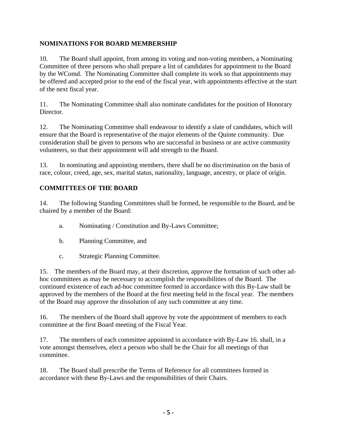#### **NOMINATIONS FOR BOARD MEMBERSHIP**

10. The Board shall appoint, from among its voting and non-voting members, a Nominating Committee of three persons who shall prepare a list of candidates for appointment to the Board by the WComd. The Nominating Committee shall complete its work so that appointments may be offered and accepted prior to the end of the fiscal year, with appointments effective at the start of the next fiscal year.

11. The Nominating Committee shall also nominate candidates for the position of Honorary Director.

12. The Nominating Committee shall endeavour to identify a slate of candidates, which will ensure that the Board is representative of the major elements of the Quinte community. Due consideration shall be given to persons who are successful in business or are active community volunteers, so that their appointment will add strength to the Board.

13. In nominating and appointing members, there shall be no discrimination on the basis of race, colour, creed, age, sex, marital status, nationality, language, ancestry, or place of origin.

#### **COMMITTEES OF THE BOARD**

14. The following Standing Committees shall be formed, be responsible to the Board, and be chaired by a member of the Board:

- a. Nominating / Constitution and By-Laws Committee;
- b. Planning Committee, and
- c. Strategic Planning Committee.

15. The members of the Board may, at their discretion, approve the formation of such other adhoc committees as may be necessary to accomplish the responsibilities of the Board. The continued existence of each ad-hoc committee formed in accordance with this By-Law shall be approved by the members of the Board at the first meeting held in the fiscal year. The members of the Board may approve the dissolution of any such committee at any time.

16. The members of the Board shall approve by vote the appointment of members to each committee at the first Board meeting of the Fiscal Year.

17. The members of each committee appointed in accordance with By-Law 16. shall, in a vote amongst themselves, elect a person who shall be the Chair for all meetings of that committee.

18. The Board shall prescribe the Terms of Reference for all committees formed in accordance with these By-Laws and the responsibilities of their Chairs.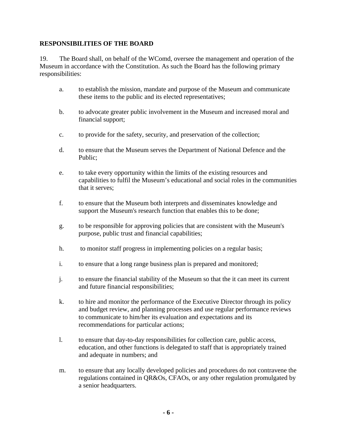#### **RESPONSIBILITIES OF THE BOARD**

19. The Board shall, on behalf of the WComd, oversee the management and operation of the Museum in accordance with the Constitution. As such the Board has the following primary responsibilities:

- a. to establish the mission, mandate and purpose of the Museum and communicate these items to the public and its elected representatives;
- b. to advocate greater public involvement in the Museum and increased moral and financial support;
- c. to provide for the safety, security, and preservation of the collection;
- d. to ensure that the Museum serves the Department of National Defence and the Public;
- e. to take every opportunity within the limits of the existing resources and capabilities to fulfil the Museum's educational and social roles in the communities that it serves;
- f. to ensure that the Museum both interprets and disseminates knowledge and support the Museum's research function that enables this to be done;
- g. to be responsible for approving policies that are consistent with the Museum's purpose, public trust and financial capabilities;
- h. to monitor staff progress in implementing policies on a regular basis;
- i. to ensure that a long range business plan is prepared and monitored;
- j. to ensure the financial stability of the Museum so that the it can meet its current and future financial responsibilities;
- k. to hire and monitor the performance of the Executive Director through its policy and budget review, and planning processes and use regular performance reviews to communicate to him/her its evaluation and expectations and its recommendations for particular actions;
- l. to ensure that day-to-day responsibilities for collection care, public access, education, and other functions is delegated to staff that is appropriately trained and adequate in numbers; and
- m. to ensure that any locally developed policies and procedures do not contravene the regulations contained in QR&Os, CFAOs, or any other regulation promulgated by a senior headquarters.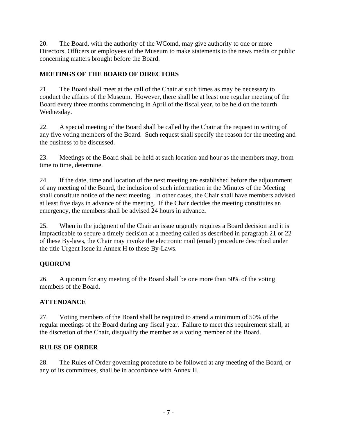20. The Board, with the authority of the WComd, may give authority to one or more Directors, Officers or employees of the Museum to make statements to the news media or public concerning matters brought before the Board.

#### **MEETINGS OF THE BOARD OF DIRECTORS**

21. The Board shall meet at the call of the Chair at such times as may be necessary to conduct the affairs of the Museum. However, there shall be at least one regular meeting of the Board every three months commencing in April of the fiscal year, to be held on the fourth Wednesday.

22. A special meeting of the Board shall be called by the Chair at the request in writing of any five voting members of the Board. Such request shall specify the reason for the meeting and the business to be discussed.

23. Meetings of the Board shall be held at such location and hour as the members may, from time to time, determine.

24. If the date, time and location of the next meeting are established before the adjournment of any meeting of the Board, the inclusion of such information in the Minutes of the Meeting shall constitute notice of the next meeting.In other cases, the Chair shall have members advised at least five days in advance of the meeting. If the Chair decides the meeting constitutes an emergency, the members shall be advised 24 hours in advance**.**

25. When in the judgment of the Chair an issue urgently requires a Board decision and it is impracticable to secure a timely decision at a meeting called as described in paragraph 21 or 22 of these By-laws, the Chair may invoke the electronic mail (email) procedure described under the title Urgent Issue in Annex H to these By-Laws.

#### **QUORUM**

26. A quorum for any meeting of the Board shall be one more than 50% of the voting members of the Board.

#### **ATTENDANCE**

27. Voting members of the Board shall be required to attend a minimum of 50% of the regular meetings of the Board during any fiscal year. Failure to meet this requirement shall, at the discretion of the Chair, disqualify the member as a voting member of the Board.

#### **RULES OF ORDER**

28. The Rules of Order governing procedure to be followed at any meeting of the Board, or any of its committees, shall be in accordance with Annex H.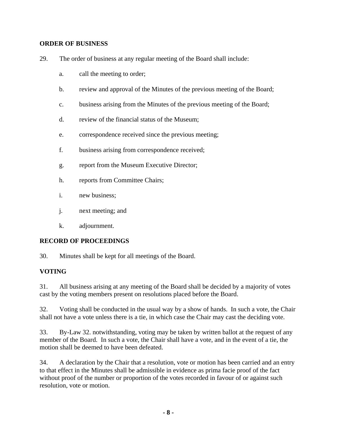#### **ORDER OF BUSINESS**

- 29. The order of business at any regular meeting of the Board shall include:
	- a. call the meeting to order;
	- b. review and approval of the Minutes of the previous meeting of the Board;
	- c. business arising from the Minutes of the previous meeting of the Board;
	- d. review of the financial status of the Museum;
	- e. correspondence received since the previous meeting;
	- f. business arising from correspondence received;
	- g. report from the Museum Executive Director;
	- h. reports from Committee Chairs;
	- i. new business;
	- j. next meeting; and
	- k. adjournment.

#### **RECORD OF PROCEEDINGS**

30. Minutes shall be kept for all meetings of the Board.

#### **VOTING**

31. All business arising at any meeting of the Board shall be decided by a majority of votes cast by the voting members present on resolutions placed before the Board.

32. Voting shall be conducted in the usual way by a show of hands. In such a vote, the Chair shall not have a vote unless there is a tie, in which case the Chair may cast the deciding vote.

33. By-Law 32. notwithstanding, voting may be taken by written ballot at the request of any member of the Board. In such a vote, the Chair shall have a vote, and in the event of a tie, the motion shall be deemed to have been defeated.

34. A declaration by the Chair that a resolution, vote or motion has been carried and an entry to that effect in the Minutes shall be admissible in evidence as prima facie proof of the fact without proof of the number or proportion of the votes recorded in favour of or against such resolution, vote or motion.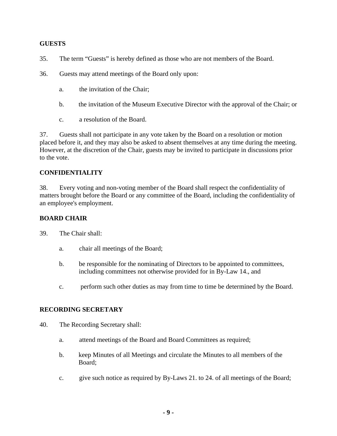#### **GUESTS**

- 35. The term "Guests" is hereby defined as those who are not members of the Board.
- 36. Guests may attend meetings of the Board only upon:
	- a. the invitation of the Chair;
	- b. the invitation of the Museum Executive Director with the approval of the Chair; or
	- c. a resolution of the Board.

37. Guests shall not participate in any vote taken by the Board on a resolution or motion placed before it, and they may also be asked to absent themselves at any time during the meeting. However, at the discretion of the Chair, guests may be invited to participate in discussions prior to the vote.

#### **CONFIDENTIALITY**

38. Every voting and non-voting member of the Board shall respect the confidentiality of matters brought before the Board or any committee of the Board, including the confidentiality of an employee's employment.

#### **BOARD CHAIR**

39. The Chair shall:

- a. chair all meetings of the Board;
- b. be responsible for the nominating of Directors to be appointed to committees, including committees not otherwise provided for in By-Law 14., and
- c. perform such other duties as may from time to time be determined by the Board.

#### **RECORDING SECRETARY**

- 40. The Recording Secretary shall:
	- a. attend meetings of the Board and Board Committees as required;
	- b. keep Minutes of all Meetings and circulate the Minutes to all members of the Board;
	- c. give such notice as required by By-Laws 21. to 24. of all meetings of the Board;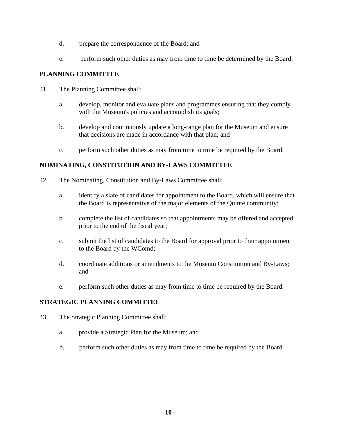- d. prepare the correspondence of the Board; and
- e. perform such other duties as may from time to time be determined by the Board.

#### **PLANNING COMMITTEE**

- 41. The Planning Committee shall:
	- a. develop, monitor and evaluate plans and programmes ensuring that they comply with the Museum's policies and accomplish its goals;
	- b. develop and continuously update a long-range plan for the Museum and ensure that decisions are made in accordance with that plan; and
	- c. perform such other duties as may from time to time be required by the Board.

#### **NOMINATING, CONSTITUTION AND BY-LAWS COMMITTEE**

- 42. The Nominating, Constitution and By-Laws Committee shall:
	- a. identify a slate of candidates for appointment to the Board, which will ensure that the Board is representative of the major elements of the Quinte community;
	- b. complete the list of candidates so that appointments may be offered and accepted prior to the end of the fiscal year;
	- c. submit the list of candidates to the Board for approval prior to their appointment to the Board by the WComd;
	- d. coordinate additions or amendments to the Museum Constitution and By-Laws; and
	- e. perform such other duties as may from time to time be required by the Board.

#### **STRATEGIC PLANNING COMMITTEE**

- 43. The Strategic Planning Committee shall:
	- a. provide a Strategic Plan for the Museum; and
	- b. perform such other duties as may from time to time be required by the Board.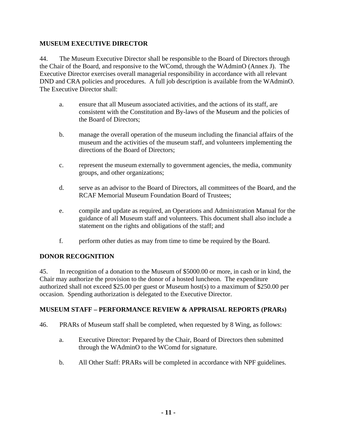#### **MUSEUM EXECUTIVE DIRECTOR**

44. The Museum Executive Director shall be responsible to the Board of Directors through the Chair of the Board, and responsive to the WComd, through the WAdminO (Annex J). The Executive Director exercises overall managerial responsibility in accordance with all relevant DND and CRA policies and procedures. A full job description is available from the WAdminO. The Executive Director shall:

- a. ensure that all Museum associated activities, and the actions of its staff, are consistent with the Constitution and By-laws of the Museum and the policies of the Board of Directors;
- b. manage the overall operation of the museum including the financial affairs of the museum and the activities of the museum staff, and volunteers implementing the directions of the Board of Directors;
- c. represent the museum externally to government agencies, the media, community groups, and other organizations;
- d. serve as an advisor to the Board of Directors, all committees of the Board, and the RCAF Memorial Museum Foundation Board of Trustees;
- e. compile and update as required, an Operations and Administration Manual for the guidance of all Museum staff and volunteers. This document shall also include a statement on the rights and obligations of the staff; and
- f. perform other duties as may from time to time be required by the Board.

#### **DONOR RECOGNITION**

45. In recognition of a donation to the Museum of \$5000.00 or more, in cash or in kind, the Chair may authorize the provision to the donor of a hosted luncheon. The expenditure authorized shall not exceed \$25.00 per guest or Museum host(s) to a maximum of \$250.00 per occasion. Spending authorization is delegated to the Executive Director.

#### **MUSEUM STAFF – PERFORMANCE REVIEW & APPRAISAL REPORTS (PRARs)**

- 46. PRARs of Museum staff shall be completed, when requested by 8 Wing, as follows:
	- a. Executive Director: Prepared by the Chair, Board of Directors then submitted through the WAdminO to the WComd for signature.
	- b. All Other Staff: PRARs will be completed in accordance with NPF guidelines.